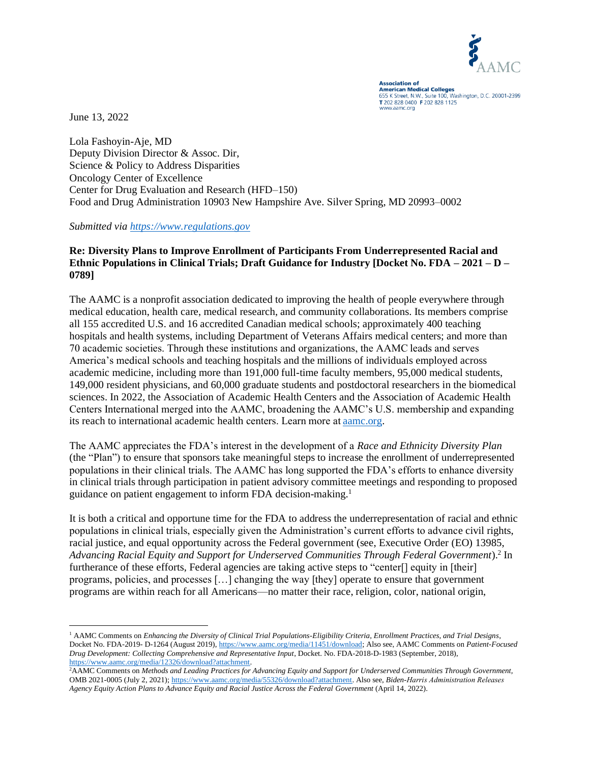

**Association of Association of**<br>**American Medical Colleges** 655 K Street, N.W., Suite 100, Washington, D.C. 20001-2399 T 202 828 0400 F 202 828 1125 www.aamc.org

June 13, 2022

Lola Fashoyin-Aje, MD Deputy Division Director & Assoc. Dir, Science & Policy to Address Disparities Oncology Center of Excellence Center for Drug Evaluation and Research (HFD–150) Food and Drug Administration 10903 New Hampshire Ave. Silver Spring, MD 20993–0002

*Submitted via [https://www.regulations.gov](https://www.regulations.gov/)*

## **Re: Diversity Plans to Improve Enrollment of Participants From Underrepresented Racial and Ethnic Populations in Clinical Trials; Draft Guidance for Industry [Docket No. FDA – 2021 – D – 0789]**

The AAMC is a nonprofit association dedicated to improving the health of people everywhere through medical education, health care, medical research, and community collaborations. Its members comprise all 155 accredited U.S. and 16 accredited Canadian medical schools; approximately 400 teaching hospitals and health systems, including Department of Veterans Affairs medical centers; and more than 70 academic societies. Through these institutions and organizations, the AAMC leads and serves America's medical schools and teaching hospitals and the millions of individuals employed across academic medicine, including more than 191,000 full-time faculty members, 95,000 medical students, 149,000 resident physicians, and 60,000 graduate students and postdoctoral researchers in the biomedical sciences. In 2022, the Association of Academic Health Centers and the Association of Academic Health Centers International merged into the AAMC, broadening the AAMC's U.S. membership and expanding its reach to international academic health centers. Learn more at[aamc.org.](http://aamc.org/)

The AAMC appreciates the FDA's interest in the development of a *Race and Ethnicity Diversity Plan*  (the "Plan") to ensure that sponsors take meaningful steps to increase the enrollment of underrepresented populations in their clinical trials. The AAMC has long supported the FDA's efforts to enhance diversity in clinical trials through participation in patient advisory committee meetings and responding to proposed guidance on patient engagement to inform FDA decision-making. 1

It is both a critical and opportune time for the FDA to address the underrepresentation of racial and ethnic populations in clinical trials, especially given the Administration's current efforts to advance civil rights, racial justice, and equal opportunity across the Federal government (see, Executive Order (EO) 13985, Advancing Racial Equity and Support for Underserved Communities Through Federal Government).<sup>2</sup> In furtherance of these efforts, Federal agencies are taking active steps to "center<sup>[]</sup> equity in [their] programs, policies, and processes […] changing the way [they] operate to ensure that government programs are within reach for all Americans—no matter their race, religion, color, national origin,

<sup>1</sup> AAMC Comments on *Enhancing the Diversity of Clinical Trial Populations-Eligibility Criteria, Enrollment Practices, and Trial Designs*, Docket No. FDA-2019- D-1264 (August 2019)[, https://www.aamc.org/media/11451/download;](https://www.aamc.org/media/11451/download) Also see, AAMC Comments on *Patient-Focused Drug Development: Collecting Comprehensive and Representative Input*, Docket. No. FDA-2018-D-1983 (September, 2018), [https://www.aamc.org/media/12326/download?attachment.](https://www.aamc.org/media/12326/download?attachment) 

<sup>2</sup>AAMC Comments on *Methods and Leading Practices for Advancing Equity and Support for Underserved Communities Through Government,* OMB 2021-0005 (July 2, 2021); [https://www.aamc.org/media/55326/download?attachment.](https://www.aamc.org/media/55326/download?attachment) Also see, *Biden-Harris Administration Releases Agency Equity Action Plans to Advance Equity and Racial Justice Across the Federal Government* (April 14, 2022).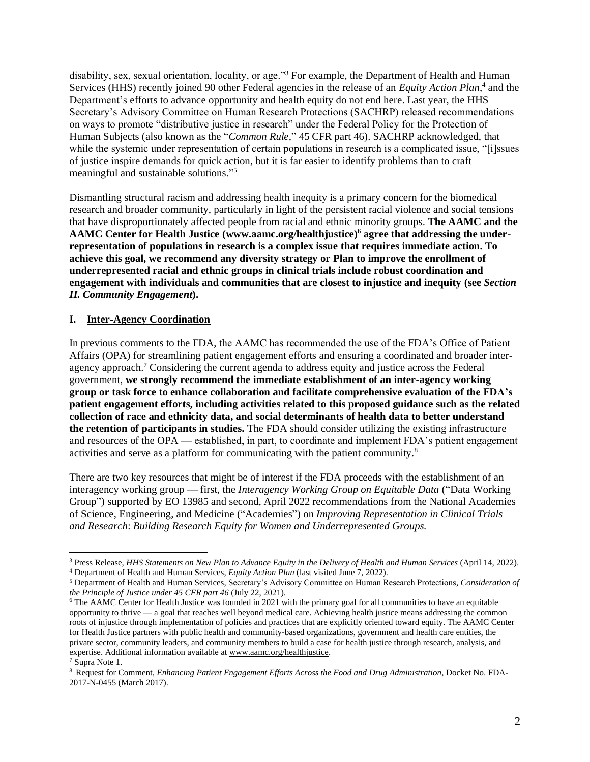disability, sex, sexual orientation, locality, or age."<sup>3</sup> For example, the Department of Health and Human Services (HHS) recently joined 90 other Federal agencies in the release of an *Equity Action Plan*,<sup>4</sup> and the Department's efforts to advance opportunity and health equity do not end here. Last year, the HHS Secretary's Advisory Committee on Human Research Protections (SACHRP) released recommendations on ways to promote "distributive justice in research" under the Federal Policy for the Protection of Human Subjects (also known as the "*Common Rule*," 45 CFR part 46). SACHRP acknowledged, that while the systemic under representation of certain populations in research is a complicated issue, "[i]ssues of justice inspire demands for quick action, but it is far easier to identify problems than to craft meaningful and sustainable solutions."<sup>5</sup>

Dismantling structural racism and addressing health inequity is a primary concern for the biomedical research and broader community, particularly in light of the persistent racial violence and social tensions that have disproportionately affected people from racial and ethnic minority groups. **The AAMC and the AAMC Center for Health Justice (www.aamc.org/healthjustice)<sup>6</sup> agree that addressing the underrepresentation of populations in research is a complex issue that requires immediate action. To achieve this goal, we recommend any diversity strategy or Plan to improve the enrollment of underrepresented racial and ethnic groups in clinical trials include robust coordination and engagement with individuals and communities that are closest to injustice and inequity (see** *Section II. Community Engagement***).** 

#### **I. Inter-Agency Coordination**

In previous comments to the FDA, the AAMC has recommended the use of the FDA's Office of Patient Affairs (OPA) for streamlining patient engagement efforts and ensuring a coordinated and broader interagency approach.<sup>7</sup> Considering the current agenda to address equity and justice across the Federal government, **we strongly recommend the immediate establishment of an inter-agency working group or task force to enhance collaboration and facilitate comprehensive evaluation of the FDA's patient engagement efforts, including activities related to this proposed guidance such as the related collection of race and ethnicity data, and social determinants of health data to better understand the retention of participants in studies.** The FDA should consider utilizing the existing infrastructure and resources of the OPA — established, in part, to coordinate and implement FDA's patient engagement activities and serve as a platform for communicating with the patient community.<sup>8</sup>

There are two key resources that might be of interest if the FDA proceeds with the establishment of an interagency working group — first, the *Interagency Working Group on Equitable Data* ("Data Working Group") supported by EO 13985 and second, April 2022 recommendations from the National Academies of Science, Engineering, and Medicine ("Academies") on *Improving Representation in Clinical Trials and Research*: *Building Research Equity for Women and Underrepresented Groups.*

<sup>3</sup> Press Release, *HHS Statements on New Plan to Advance Equity in the Delivery of Health and Human Services* (April 14, 2022). <sup>4</sup> Department of Health and Human Services, *Equity Action Plan* (last visited June 7, 2022).

<sup>5</sup> Department of Health and Human Services, Secretary's Advisory Committee on Human Research Protections, *Consideration of the Principle of Justice under 45 CFR part 46* (July 22, 2021).

<sup>&</sup>lt;sup>6</sup> The AAMC Center for Health Justice was founded in 2021 with the primary goal for all communities to have an equitable opportunity to thrive — a goal that reaches well beyond medical care. Achieving health justice means addressing the common roots of injustice through implementation of policies and practices that are explicitly oriented toward equity. The AAMC Center for Health Justice partners with public health and community-based organizations, government and health care entities, the private sector, community leaders, and community members to build a case for health justice through research, analysis, and expertise. Additional information available at [www.aamc.org/healthjustice.](http://www.aamc.org/healthjustice)

<sup>7</sup> Supra Note 1.

<sup>8</sup> Request for Comment, *Enhancing Patient Engagement Efforts Across the Food and Drug Administration*, Docket No. FDA-2017-N-0455 (March 2017).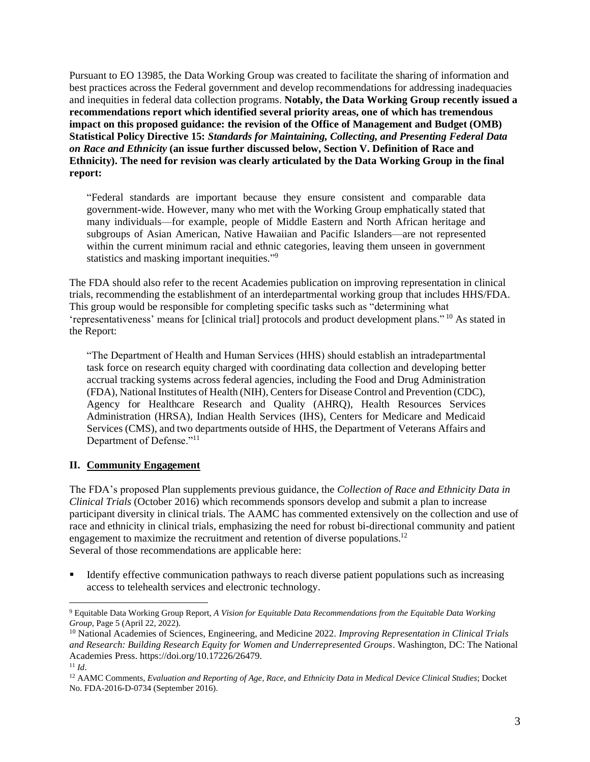Pursuant to EO 13985, the Data Working Group was created to facilitate the sharing of information and best practices across the Federal government and develop recommendations for addressing inadequacies and inequities in federal data collection programs. **Notably, the Data Working Group recently issued a recommendations report which identified several priority areas, one of which has tremendous impact on this proposed guidance: the revision of the Office of Management and Budget (OMB) Statistical Policy Directive 15:** *Standards for Maintaining, Collecting, and Presenting Federal Data on Race and Ethnicity* **(an issue further discussed below, Section V. Definition of Race and Ethnicity). The need for revision was clearly articulated by the Data Working Group in the final report:** 

"Federal standards are important because they ensure consistent and comparable data government-wide. However, many who met with the Working Group emphatically stated that many individuals—for example, people of Middle Eastern and North African heritage and subgroups of Asian American, Native Hawaiian and Pacific Islanders—are not represented within the current minimum racial and ethnic categories, leaving them unseen in government statistics and masking important inequities."<sup>9</sup>

The FDA should also refer to the recent Academies publication on improving representation in clinical trials, recommending the establishment of an interdepartmental working group that includes HHS/FDA. This group would be responsible for completing specific tasks such as "determining what 'representativeness' means for [clinical trial] protocols and product development plans." <sup>10</sup> As stated in the Report:

"The Department of Health and Human Services (HHS) should establish an intradepartmental task force on research equity charged with coordinating data collection and developing better accrual tracking systems across federal agencies, including the Food and Drug Administration (FDA), National Institutes of Health (NIH), Centers for Disease Control and Prevention (CDC), Agency for Healthcare Research and Quality (AHRQ), Health Resources Services Administration (HRSA), Indian Health Services (IHS), Centers for Medicare and Medicaid Services (CMS), and two departments outside of HHS, the Department of Veterans Affairs and Department of Defense."<sup>11</sup>

# **II. Community Engagement**

The FDA's proposed Plan supplements previous guidance, the *Collection of Race and Ethnicity Data in Clinical Trials* (October 2016) which recommends sponsors develop and submit a plan to increase participant diversity in clinical trials. The AAMC has commented extensively on the collection and use of race and ethnicity in clinical trials, emphasizing the need for robust bi-directional community and patient engagement to maximize the recruitment and retention of diverse populations.<sup>12</sup> Several of those recommendations are applicable here:

Identify effective communication pathways to reach diverse patient populations such as increasing access to telehealth services and electronic technology.

<sup>9</sup> Equitable Data Working Group Report, *A Vision for Equitable Data Recommendations from the Equitable Data Working Group*, Page 5 (April 22, 2022).

<sup>10</sup> National Academies of Sciences, Engineering, and Medicine 2022. *Improving Representation in Clinical Trials and Research: Building Research Equity for Women and Underrepresented Groups*. Washington, DC: The National Academies Press. https://doi.org/10.17226/26479.

<sup>11</sup> *Id*.

<sup>12</sup> AAMC Comments, *Evaluation and Reporting of Age, Race, and Ethnicity Data in Medical Device Clinical Studies*; Docket No. FDA-2016-D-0734 (September 2016).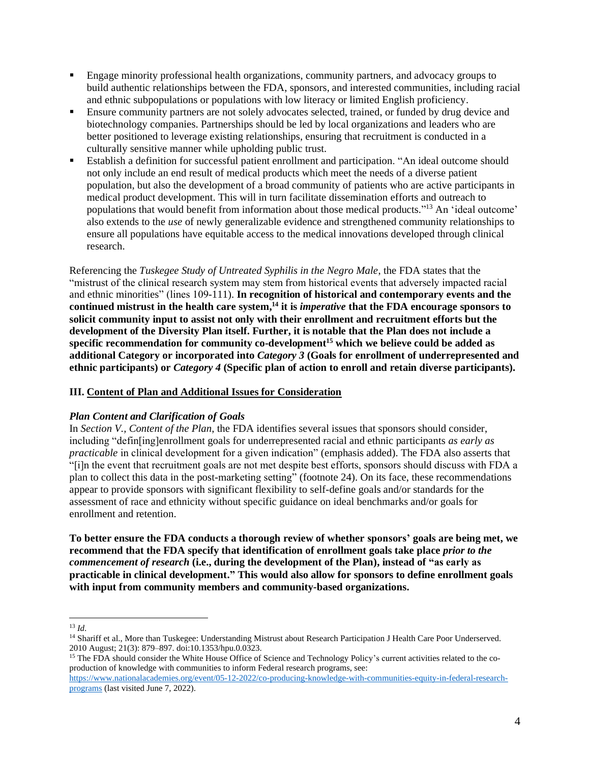- Engage minority professional health organizations, community partners, and advocacy groups to build authentic relationships between the FDA, sponsors, and interested communities, including racial and ethnic subpopulations or populations with low literacy or limited English proficiency.
- Ensure community partners are not solely advocates selected, trained, or funded by drug device and biotechnology companies. Partnerships should be led by local organizations and leaders who are better positioned to leverage existing relationships, ensuring that recruitment is conducted in a culturally sensitive manner while upholding public trust.
- Establish a definition for successful patient enrollment and participation. "An ideal outcome should not only include an end result of medical products which meet the needs of a diverse patient population, but also the development of a broad community of patients who are active participants in medical product development. This will in turn facilitate dissemination efforts and outreach to populations that would benefit from information about those medical products." <sup>13</sup> An 'ideal outcome' also extends to the *use* of newly generalizable evidence and strengthened community relationships to ensure all populations have equitable access to the medical innovations developed through clinical research.

Referencing the *Tuskegee Study of Untreated Syphilis in the Negro Male*, the FDA states that the "mistrust of the clinical research system may stem from historical events that adversely impacted racial and ethnic minorities" (lines 109-111). **In recognition of historical and contemporary events and the continued mistrust in the health care system, <sup>14</sup> it is** *imperative* **that the FDA encourage sponsors to solicit community input to assist not only with their enrollment and recruitment efforts but the development of the Diversity Plan itself. Further, it is notable that the Plan does not include a specific recommendation for community co-development<sup>15</sup> which we believe could be added as additional Category or incorporated into** *Category 3* **(Goals for enrollment of underrepresented and ethnic participants) or** *Category 4* **(Specific plan of action to enroll and retain diverse participants).**

# **III. Content of Plan and Additional Issues for Consideration**

# *Plan Content and Clarification of Goals*

In *Section V., Content of the Plan*, the FDA identifies several issues that sponsors should consider, including "defin[ing]enrollment goals for underrepresented racial and ethnic participants *as early as practicable* in clinical development for a given indication" (emphasis added). The FDA also asserts that "[i]n the event that recruitment goals are not met despite best efforts, sponsors should discuss with FDA a plan to collect this data in the post-marketing setting" (footnote 24). On its face, these recommendations appear to provide sponsors with significant flexibility to self-define goals and/or standards for the assessment of race and ethnicity without specific guidance on ideal benchmarks and/or goals for enrollment and retention.

**To better ensure the FDA conducts a thorough review of whether sponsors' goals are being met, we recommend that the FDA specify that identification of enrollment goals take place** *prior to the commencement of research* **(i.e., during the development of the Plan), instead of "as early as practicable in clinical development." This would also allow for sponsors to define enrollment goals with input from community members and community-based organizations.** 

<sup>13</sup> *Id*.

<sup>&</sup>lt;sup>14</sup> Shariff et al., More than Tuskegee: Understanding Mistrust about Research Participation J Health Care Poor Underserved. 2010 August; 21(3): 879–897. doi:10.1353/hpu.0.0323.

<sup>&</sup>lt;sup>15</sup> The FDA should consider the White House Office of Science and Technology Policy's current activities related to the coproduction of knowledge with communities to inform Federal research programs, see:

[https://www.nationalacademies.org/event/05-12-2022/co-producing-knowledge-with-communities-equity-in-federal-research](https://www.nationalacademies.org/event/05-12-2022/co-producing-knowledge-with-communities-equity-in-federal-research-programs)[programs](https://www.nationalacademies.org/event/05-12-2022/co-producing-knowledge-with-communities-equity-in-federal-research-programs) (last visited June 7, 2022).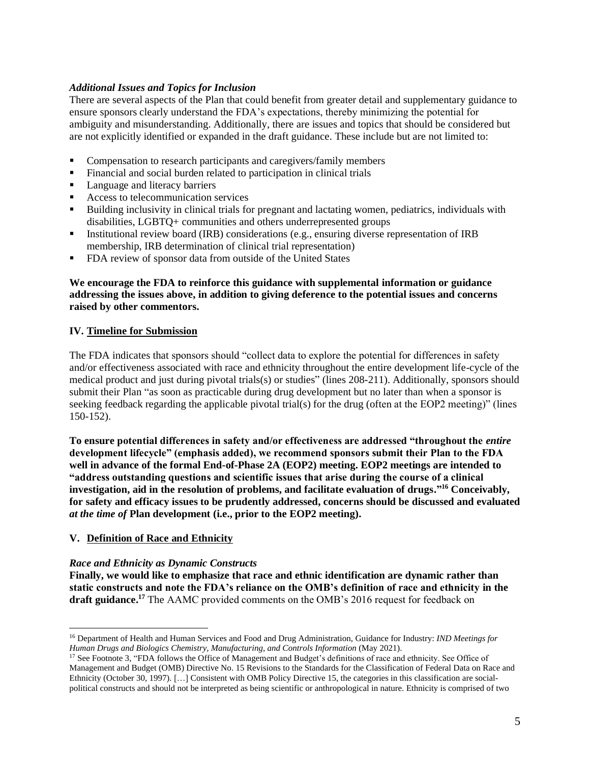## *Additional Issues and Topics for Inclusion*

There are several aspects of the Plan that could benefit from greater detail and supplementary guidance to ensure sponsors clearly understand the FDA's expectations, thereby minimizing the potential for ambiguity and misunderstanding. Additionally, there are issues and topics that should be considered but are not explicitly identified or expanded in the draft guidance. These include but are not limited to:

- Compensation to research participants and caregivers/family members
- Financial and social burden related to participation in clinical trials
- Language and literacy barriers
- Access to telecommunication services
- Building inclusivity in clinical trials for pregnant and lactating women, pediatrics, individuals with disabilities, LGBTQ+ communities and others underrepresented groups
- Institutional review board (IRB) considerations (e.g., ensuring diverse representation of IRB membership, IRB determination of clinical trial representation)
- FDA review of sponsor data from outside of the United States

## **We encourage the FDA to reinforce this guidance with supplemental information or guidance addressing the issues above, in addition to giving deference to the potential issues and concerns raised by other commentors.**

## **IV. Timeline for Submission**

The FDA indicates that sponsors should "collect data to explore the potential for differences in safety and/or effectiveness associated with race and ethnicity throughout the entire development life-cycle of the medical product and just during pivotal trials(s) or studies" (lines 208-211). Additionally, sponsors should submit their Plan "as soon as practicable during drug development but no later than when a sponsor is seeking feedback regarding the applicable pivotal trial(s) for the drug (often at the EOP2 meeting)" (lines 150-152).

**To ensure potential differences in safety and/or effectiveness are addressed "throughout the** *entire* **development lifecycle" (emphasis added), we recommend sponsors submit their Plan to the FDA well in advance of the formal End-of-Phase 2A (EOP2) meeting. EOP2 meetings are intended to "address outstanding questions and scientific issues that arise during the course of a clinical investigation, aid in the resolution of problems, and facilitate evaluation of drugs." <sup>16</sup> Conceivably, for safety and efficacy issues to be prudently addressed, concerns should be discussed and evaluated**  *at the time of* **Plan development (i.e., prior to the EOP2 meeting).** 

#### **V. Definition of Race and Ethnicity**

#### *Race and Ethnicity as Dynamic Constructs*

**Finally, we would like to emphasize that race and ethnic identification are dynamic rather than static constructs and note the FDA's reliance on the OMB's definition of race and ethnicity in the draft guidance. <sup>17</sup>** The AAMC provided comments on the OMB's 2016 request for feedback on

<sup>16</sup> Department of Health and Human Services and Food and Drug Administration, Guidance for Industry: *IND Meetings for Human Drugs and Biologics Chemistry, Manufacturing, and Controls Information* (May 2021).

<sup>&</sup>lt;sup>17</sup> See Footnote 3, "FDA follows the Office of Management and Budget's definitions of race and ethnicity. See Office of Management and Budget (OMB) Directive No. 15 Revisions to the Standards for the Classification of Federal Data on Race and Ethnicity (October 30, 1997). […] Consistent with OMB Policy Directive 15, the categories in this classification are socialpolitical constructs and should not be interpreted as being scientific or anthropological in nature. Ethnicity is comprised of two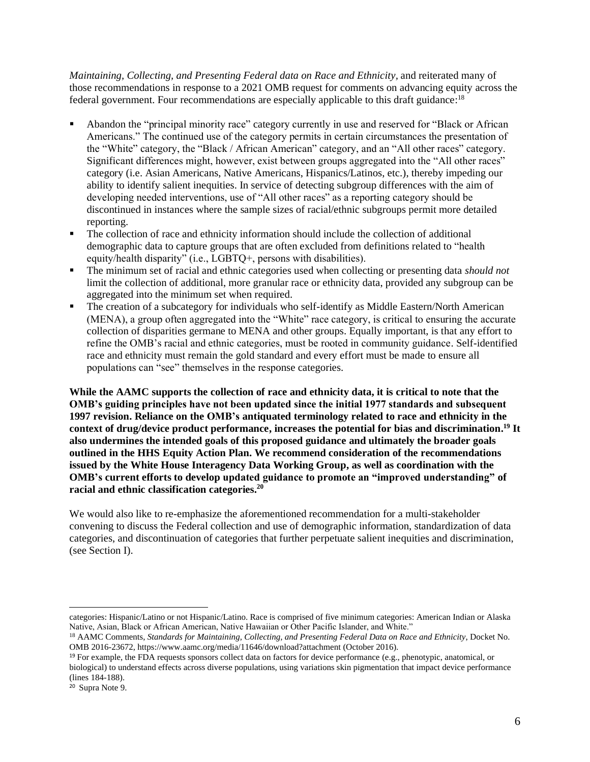*Maintaining, Collecting, and Presenting Federal data on Race and Ethnicity, and reiterated many of* those recommendations in response to a 2021 OMB request for comments on advancing equity across the federal government. Four recommendations are especially applicable to this draft guidance:<sup>18</sup>

- Abandon the "principal minority race" category currently in use and reserved for "Black or African" Americans." The continued use of the category permits in certain circumstances the presentation of the "White" category, the "Black / African American" category, and an "All other races" category. Significant differences might, however, exist between groups aggregated into the "All other races" category (i.e. Asian Americans, Native Americans, Hispanics/Latinos, etc.), thereby impeding our ability to identify salient inequities. In service of detecting subgroup differences with the aim of developing needed interventions, use of "All other races" as a reporting category should be discontinued in instances where the sample sizes of racial/ethnic subgroups permit more detailed reporting.
- The collection of race and ethnicity information should include the collection of additional demographic data to capture groups that are often excluded from definitions related to "health equity/health disparity" (i.e., LGBTQ+, persons with disabilities).
- The minimum set of racial and ethnic categories used when collecting or presenting data *should not* limit the collection of additional, more granular race or ethnicity data, provided any subgroup can be aggregated into the minimum set when required.
- The creation of a subcategory for individuals who self-identify as Middle Eastern/North American (MENA), a group often aggregated into the "White" race category, is critical to ensuring the accurate collection of disparities germane to MENA and other groups. Equally important, is that any effort to refine the OMB's racial and ethnic categories, must be rooted in community guidance. Self-identified race and ethnicity must remain the gold standard and every effort must be made to ensure all populations can "see" themselves in the response categories.

**While the AAMC supports the collection of race and ethnicity data, it is critical to note that the OMB's guiding principles have not been updated since the initial 1977 standards and subsequent 1997 revision. Reliance on the OMB's antiquated terminology related to race and ethnicity in the context of drug/device product performance, increases the potential for bias and discrimination. <sup>19</sup> It also undermines the intended goals of this proposed guidance and ultimately the broader goals outlined in the HHS Equity Action Plan. We recommend consideration of the recommendations issued by the White House Interagency Data Working Group, as well as coordination with the OMB's current efforts to develop updated guidance to promote an "improved understanding" of racial and ethnic classification categories.<sup>20</sup>**

We would also like to re-emphasize the aforementioned recommendation for a multi-stakeholder convening to discuss the Federal collection and use of demographic information, standardization of data categories, and discontinuation of categories that further perpetuate salient inequities and discrimination, (see Section I).

categories: Hispanic/Latino or not Hispanic/Latino. Race is comprised of five minimum categories: American Indian or Alaska Native, Asian, Black or African American, Native Hawaiian or Other Pacific Islander, and White."

<sup>18</sup> AAMC Comments, *Standards for Maintaining, Collecting, and Presenting Federal Data on Race and Ethnicity*, Docket No. OMB 2016-23672, https://www.aamc.org/media/11646/download?attachment (October 2016).

<sup>19</sup> For example, the FDA requests sponsors collect data on factors for device performance (e.g., phenotypic, anatomical, or biological) to understand effects across diverse populations, using variations skin pigmentation that impact device performance (lines 184-188).

<sup>20</sup> Supra Note 9.